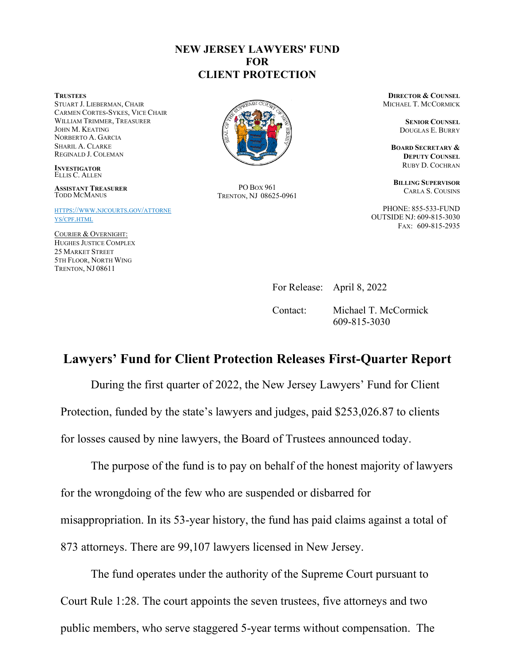## **NEW JERSEY LAWYERS' FUND FOR CLIENT PROTECTION**

**TRUSTEES**

STUART J. LIEBERMAN, CHAIR CARMEN CORTES-SYKES, VICE CHAIR WILLIAM TRIMMER, TREASURER JOHN M. KEATING NORBERTO A. GARCIA SHARIL A. CLARKE REGINALD J. COLEMAN

**INVESTIGATOR** ELLIS C. ALLEN

**ASSISTANT TREASURER** TODD MCMANUS

[HTTPS://WWW.NJCOURTS.GOV/ATTORNE](https://www.njcourts.gov/attorneys/cpf.html) [YS/CPF.HTML](https://www.njcourts.gov/attorneys/cpf.html)

COURIER & OVERNIGHT: HUGHES JUSTICE COMPLEX 25 MARKET STREET 5TH FLOOR, NORTH WING TRENTON, NJ 08611



PO BOX 961 TRENTON, NJ 08625-0961

**DIRECTOR & COUNSEL** MICHAEL T. MCCORMICK

> **SENIOR COUNSEL**  DOUGLAS E. BURRY

**BOARD SECRETARY & DEPUTY COUNSEL** RUBY D. COCHRAN

**BILLING SUPERVISOR**  CARLA S. COUSINS

PHONE: 855-533-FUND OUTSIDE NJ: 609-815-3030 FAX: 609-815-2935

For Release: April 8, 2022

Contact: Michael T. McCormick 609-815-3030

## **Lawyers' Fund for Client Protection Releases First-Quarter Report**

During the first quarter of 2022, the New Jersey Lawyers' Fund for Client Protection, funded by the state's lawyers and judges, paid \$253,026.87 to clients for losses caused by nine lawyers, the Board of Trustees announced today.

The purpose of the fund is to pay on behalf of the honest majority of lawyers for the wrongdoing of the few who are suspended or disbarred for misappropriation. In its 53-year history, the fund has paid claims against a total of 873 attorneys. There are 99,107 lawyers licensed in New Jersey.

The fund operates under the authority of the Supreme Court pursuant to Court Rule 1:28. The court appoints the seven trustees, five attorneys and two public members, who serve staggered 5-year terms without compensation. The